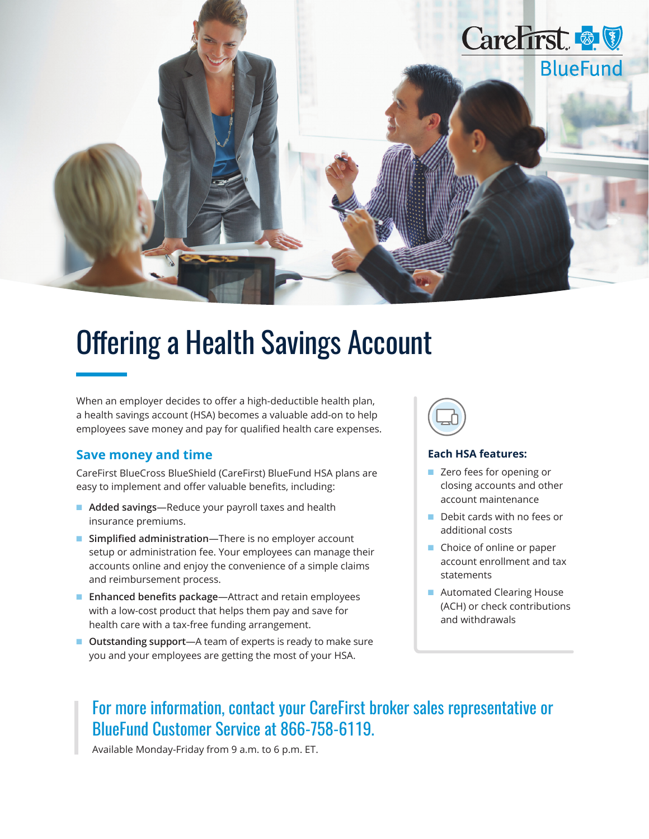

## Offering a Health Savings Account

When an employer decides to offer a high-deductible health plan, a health savings account (HSA) becomes a valuable add-on to help employees save money and pay for qualified health care expenses.

## **Save money and time**

CareFirst BlueCross BlueShield (CareFirst) BlueFund HSA plans are easy to implement and offer valuable benefits, including:

- **Added savings**—Reduce your payroll taxes and health insurance premiums.
- **Simplified administration**—There is no employer account setup or administration fee. Your employees can manage their accounts online and enjoy the convenience of a simple claims and reimbursement process.
- **Enhanced benefits package—Attract and retain employees** with a low-cost product that helps them pay and save for health care with a tax-free funding arrangement.
- **Outstanding support**—A team of experts is ready to make sure you and your employees are getting the most of your HSA.



## **Each HSA features:**

- Zero fees for opening or closing accounts and other account maintenance
- Debit cards with no fees or additional costs
- Choice of online or paper account enrollment and tax statements
- Automated Clearing House (ACH) or check contributions and withdrawals

## For more information, contact your CareFirst broker sales representative or BlueFund Customer Service at 866-758-6119.

Available Monday-Friday from 9 a.m. to 6 p.m. ET.